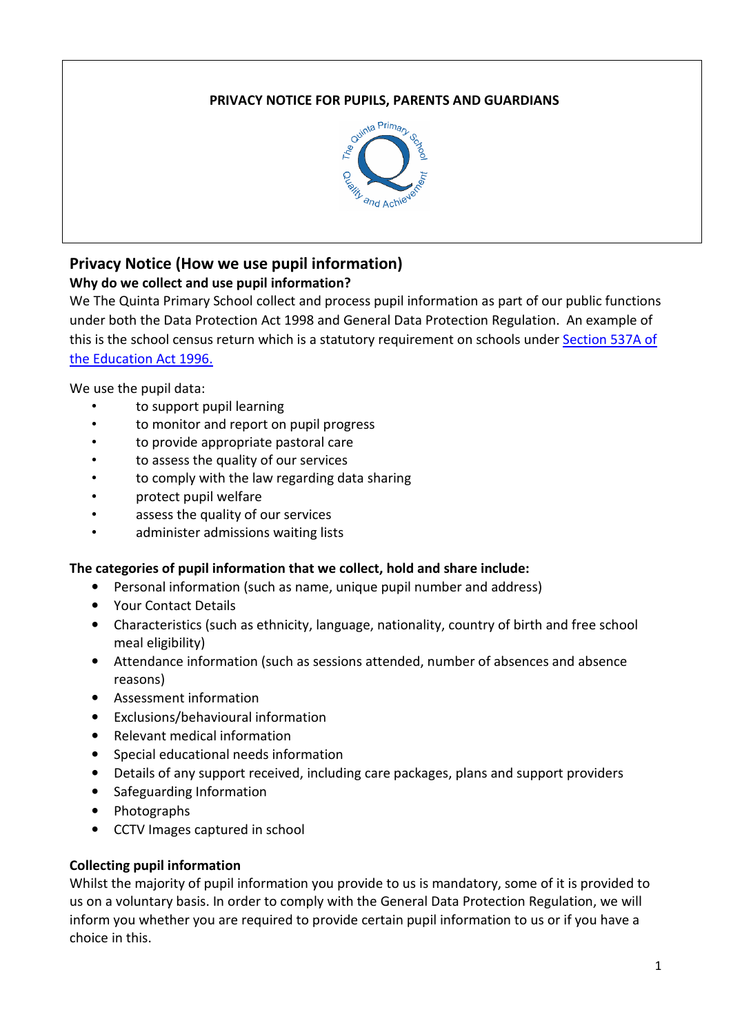## PRIVACY NOTICE FOR PUPILS, PARENTS AND GUARDIANS



# Privacy Notice (How we use pupil information)

## Why do we collect and use pupil information?

We The Quinta Primary School collect and process pupil information as part of our public functions under both the Data Protection Act 1998 and General Data Protection Regulation. An example of this is the school census return which is a statutory requirement on schools under Section 537A of the Education Act 1996.

We use the pupil data:

- to support pupil learning
- to monitor and report on pupil progress
- to provide appropriate pastoral care
- to assess the quality of our services
- to comply with the law regarding data sharing
- protect pupil welfare
- assess the quality of our services
- administer admissions waiting lists

## The categories of pupil information that we collect, hold and share include:

- Personal information (such as name, unique pupil number and address)
- Your Contact Details
- Characteristics (such as ethnicity, language, nationality, country of birth and free school meal eligibility)
- Attendance information (such as sessions attended, number of absences and absence reasons)
- Assessment information
- Exclusions/behavioural information
- Relevant medical information
- Special educational needs information
- Details of any support received, including care packages, plans and support providers
- Safeguarding Information
- Photographs
- CCTV Images captured in school

## Collecting pupil information

Whilst the majority of pupil information you provide to us is mandatory, some of it is provided to us on a voluntary basis. In order to comply with the General Data Protection Regulation, we will inform you whether you are required to provide certain pupil information to us or if you have a choice in this.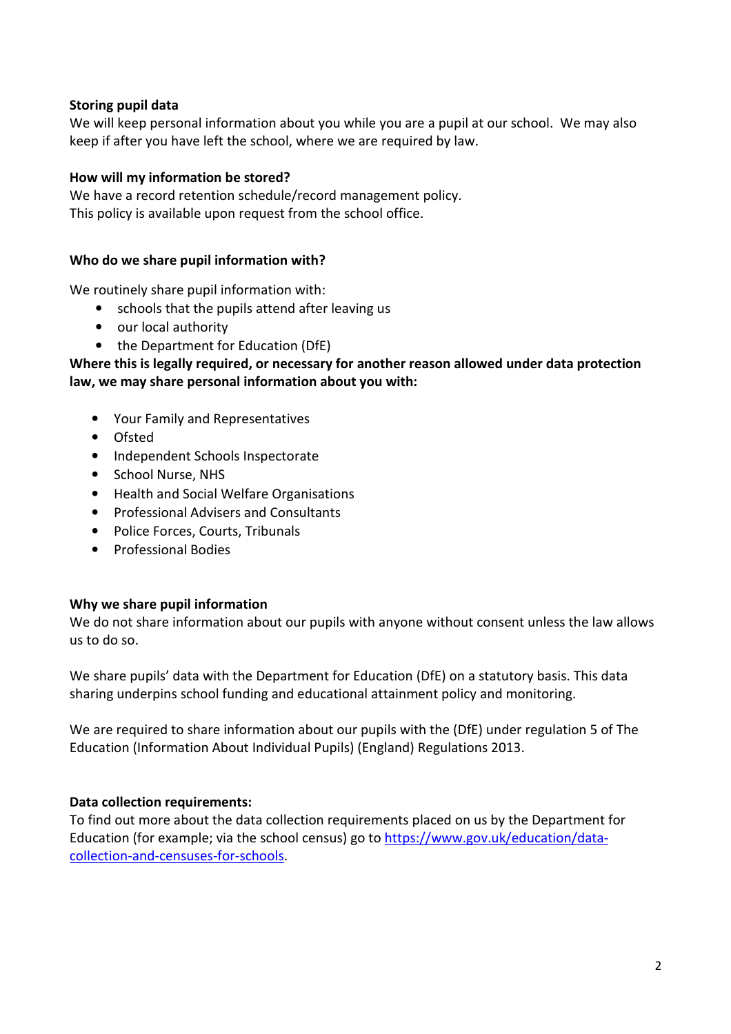## Storing pupil data

We will keep personal information about you while you are a pupil at our school. We may also keep if after you have left the school, where we are required by law.

#### How will my information be stored?

We have a record retention schedule/record management policy. This policy is available upon request from the school office.

#### Who do we share pupil information with?

We routinely share pupil information with:

- schools that the pupils attend after leaving us
- our local authority
- the Department for Education (DfE)

Where this is legally required, or necessary for another reason allowed under data protection law, we may share personal information about you with:

- Your Family and Representatives
- Ofsted
- Independent Schools Inspectorate
- School Nurse, NHS
- Health and Social Welfare Organisations
- Professional Advisers and Consultants
- Police Forces, Courts, Tribunals
- Professional Bodies

#### Why we share pupil information

We do not share information about our pupils with anyone without consent unless the law allows us to do so.

We share pupils' data with the Department for Education (DfE) on a statutory basis. This data sharing underpins school funding and educational attainment policy and monitoring.

We are required to share information about our pupils with the (DfE) under regulation 5 of The Education (Information About Individual Pupils) (England) Regulations 2013.

#### Data collection requirements:

To find out more about the data collection requirements placed on us by the Department for Education (for example; via the school census) go to https://www.gov.uk/education/datacollection-and-censuses-for-schools.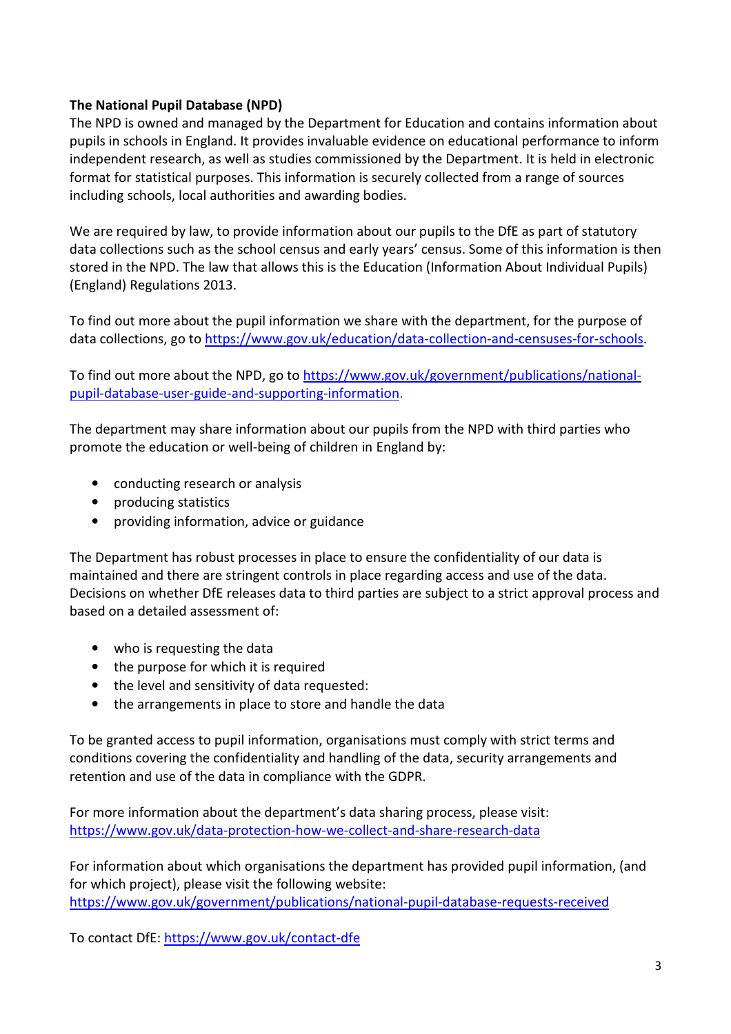## The National Pupil Database (NPD)

The NPD is owned and managed by the Department for Education and contains information about pupils in schools in England. It provides invaluable evidence on educational performance to inform independent research, as well as studies commissioned by the Department. It is held in electronic format for statistical purposes. This information is securely collected from a range of sources including schools, local authorities and awarding bodies.

We are required by law, to provide information about our pupils to the DfE as part of statutory data collections such as the school census and early years' census. Some of this information is then stored in the NPD. The law that allows this is the Education (Information About Individual Pupils) (England) Regulations 2013.

To find out more about the pupil information we share with the department, for the purpose of data collections, go to https://www.gov.uk/education/data-collection-and-censuses-for-schools.

To find out more about the NPD, go to https://www.gov.uk/government/publications/nationalpupil-database-user-guide-and-supporting-information.

The department may share information about our pupils from the NPD with third parties who promote the education or well-being of children in England by:

- conducting research or analysis
- producing statistics
- providing information, advice or guidance

The Department has robust processes in place to ensure the confidentiality of our data is maintained and there are stringent controls in place regarding access and use of the data. Decisions on whether DfE releases data to third parties are subject to a strict approval process and based on a detailed assessment of:

- who is requesting the data
- the purpose for which it is required
- the level and sensitivity of data requested:
- the arrangements in place to store and handle the data

To be granted access to pupil information, organisations must comply with strict terms and conditions covering the confidentiality and handling of the data, security arrangements and retention and use of the data in compliance with the GDPR.

For more information about the department's data sharing process, please visit: https://www.gov.uk/data-protection-how-we-collect-and-share-research-data

For information about which organisations the department has provided pupil information, (and for which project), please visit the following website: https://www.gov.uk/government/publications/national-pupil-database-requests-received

To contact DfE: https://www.gov.uk/contact-dfe